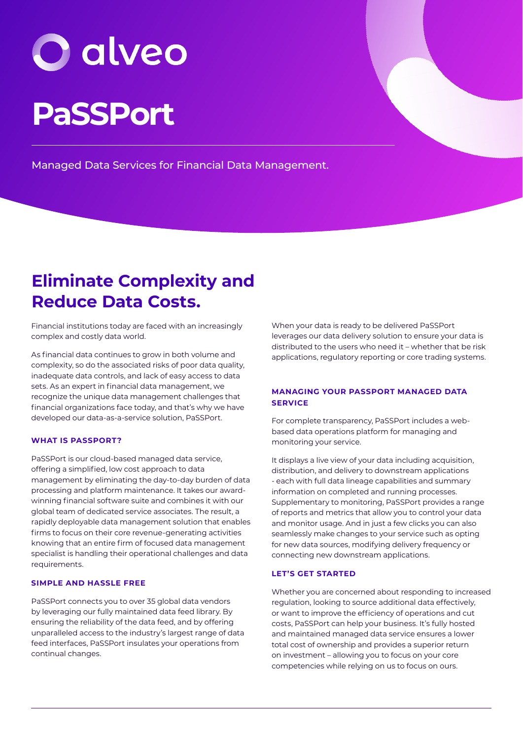# **PaSSPort**

Managed Data Services for Financial Data Management.

### **Eliminate Complexity and Reduce Data Costs.**

Financial institutions today are faced with an increasingly complex and costly data world.

As financial data continues to grow in both volume and complexity, so do the associated risks of poor data quality, inadequate data controls, and lack of easy access to data sets. As an expert in financial data management, we recognize the unique data management challenges that financial organizations face today, and that's why we have developed our data-as-a-service solution, PaSSPort.

#### **WHAT IS PASSPORT?**

PaSSPort is our cloud-based managed data service, offering a simplified, low cost approach to data management by eliminating the day-to-day burden of data processing and platform maintenance. It takes our awardwinning financial software suite and combines it with our global team of dedicated service associates. The result, a rapidly deployable data management solution that enables firms to focus on their core revenue-generating activities knowing that an entire firm of focused data management specialist is handling their operational challenges and data requirements.

#### **SIMPLE AND HASSLE FREE**

PaSSPort connects you to over 35 global data vendors by leveraging our fully maintained data feed library. By ensuring the reliability of the data feed, and by offering unparalleled access to the industry's largest range of data feed interfaces, PaSSPort insulates your operations from continual changes.

When your data is ready to be delivered PaSSPort leverages our data delivery solution to ensure your data is distributed to the users who need it – whether that be risk applications, regulatory reporting or core trading systems.

#### **MANAGING YOUR PASSPORT MANAGED DATA SERVICE**

For complete transparency, PaSSPort includes a webbased data operations platform for managing and monitoring your service.

It displays a live view of your data including acquisition, distribution, and delivery to downstream applications - each with full data lineage capabilities and summary information on completed and running processes. Supplementary to monitoring, PaSSPort provides a range of reports and metrics that allow you to control your data and monitor usage. And in just a few clicks you can also seamlessly make changes to your service such as opting for new data sources, modifying delivery frequency or connecting new downstream applications.

#### **LET'S GET STARTED**

Whether you are concerned about responding to increased regulation, looking to source additional data effectively, or want to improve the efficiency of operations and cut costs, PaSSPort can help your business. It's fully hosted and maintained managed data service ensures a lower total cost of ownership and provides a superior return on investment – allowing you to focus on your core competencies while relying on us to focus on ours.